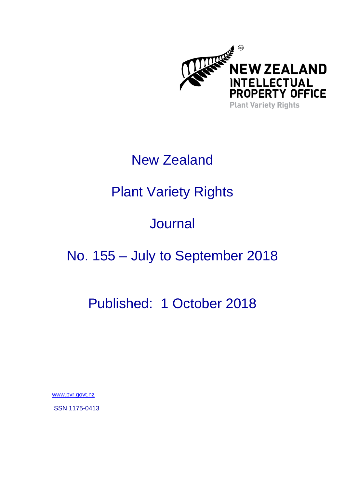

## New Zealand

# Plant Variety Rights

## **Journal**

# No. 155 – July to September 2018

### Published: 1 October 2018

[www.pvr.govt.nz](http://www.pvr.govt.nz/)

ISSN 1175-0413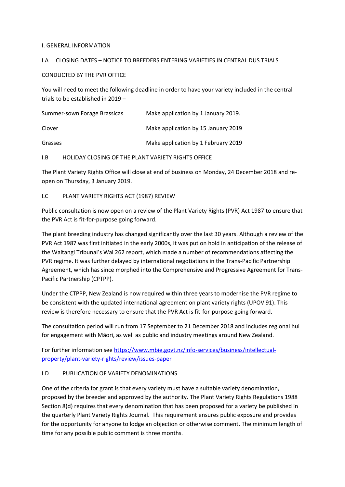#### I. GENERAL INFORMATION

#### I.A CLOSING DATES – NOTICE TO BREEDERS ENTERING VARIETIES IN CENTRAL DUS TRIALS

#### CONDUCTED BY THE PVR OFFICE

You will need to meet the following deadline in order to have your variety included in the central trials to be established in 2019 –

| Summer-sown Forage Brassicas | Make application by 1 January 2019. |
|------------------------------|-------------------------------------|
| Clover                       | Make application by 15 January 2019 |
| Grasses                      | Make application by 1 February 2019 |

I.B HOLIDAY CLOSING OF THE PLANT VARIETY RIGHTS OFFICE

The Plant Variety Rights Office will close at end of business on Monday, 24 December 2018 and reopen on Thursday, 3 January 2019.

#### I.C PLANT VARIETY RIGHTS ACT (1987) REVIEW

Public consultation is now open on a review of the Plant Variety Rights (PVR) Act 1987 to ensure that the PVR Act is fit-for-purpose going forward.

The plant breeding industry has changed significantly over the last 30 years. Although a review of the PVR Act 1987 was first initiated in the early 2000s, it was put on hold in anticipation of the release of the Waitangi Tribunal's Wai 262 report, which made a number of recommendations affecting the PVR regime. It was further delayed by international negotiations in the Trans-Pacific Partnership Agreement, which has since morphed into the Comprehensive and Progressive Agreement for Trans-Pacific Partnership (CPTPP).

Under the CTPPP, New Zealand is now required within three years to modernise the PVR regime to be consistent with the updated international agreement on plant variety rights (UPOV 91). This review is therefore necessary to ensure that the PVR Act is fit-for-purpose going forward.

The consultation period will run from 17 September to 21 December 2018 and includes regional hui for engagement with Māori, as well as public and industry meetings around New Zealand.

For further information see [https://www.mbie.govt.nz/info-services/business/intellectual](https://www.mbie.govt.nz/info-services/business/intellectual-property/plant-variety-rights/review/issues-paper)[property/plant-variety-rights/review/issues-paper](https://www.mbie.govt.nz/info-services/business/intellectual-property/plant-variety-rights/review/issues-paper)

#### I.D PUBLICATION OF VARIETY DENOMINATIONS

One of the criteria for grant is that every variety must have a suitable variety denomination, proposed by the breeder and approved by the authority. The Plant Variety Rights Regulations 1988 Section 8(d) requires that every denomination that has been proposed for a variety be published in the quarterly Plant Variety Rights Journal. This requirement ensures public exposure and provides for the opportunity for anyone to lodge an objection or otherwise comment. The minimum length of time for any possible public comment is three months.